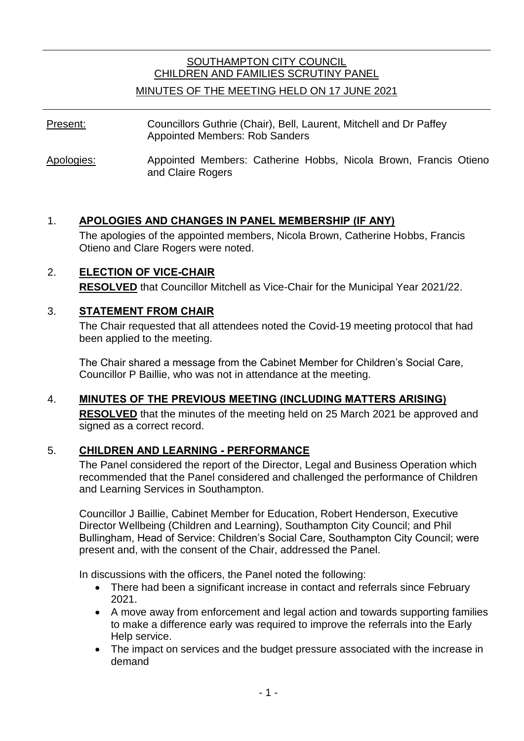# SOUTHAMPTON CITY COUNCIL CHILDREN AND FAMILIES SCRUTINY PANEL

#### MINUTES OF THE MEETING HELD ON 17 JUNE 2021

- Present: Councillors Guthrie (Chair), Bell, Laurent, Mitchell and Dr Paffey Appointed Members: Rob Sanders
- Apologies: Appointed Members: Catherine Hobbs, Nicola Brown, Francis Otieno and Claire Rogers

#### 1. **APOLOGIES AND CHANGES IN PANEL MEMBERSHIP (IF ANY)**

The apologies of the appointed members, Nicola Brown, Catherine Hobbs, Francis Otieno and Clare Rogers were noted.

#### 2. **ELECTION OF VICE-CHAIR RESOLVED** that Councillor Mitchell as Vice-Chair for the Municipal Year 2021/22.

#### 3. **STATEMENT FROM CHAIR**

The Chair requested that all attendees noted the Covid-19 meeting protocol that had been applied to the meeting.

The Chair shared a message from the Cabinet Member for Children's Social Care, Councillor P Baillie, who was not in attendance at the meeting.

#### 4. **MINUTES OF THE PREVIOUS MEETING (INCLUDING MATTERS ARISING)**

**RESOLVED** that the minutes of the meeting held on 25 March 2021 be approved and signed as a correct record.

### 5. **CHILDREN AND LEARNING - PERFORMANCE**

The Panel considered the report of the Director, Legal and Business Operation which recommended that the Panel considered and challenged the performance of Children and Learning Services in Southampton.

Councillor J Baillie, Cabinet Member for Education, Robert Henderson, Executive Director Wellbeing (Children and Learning), Southampton City Council; and Phil Bullingham, Head of Service: Children's Social Care, Southampton City Council; were present and, with the consent of the Chair, addressed the Panel.

In discussions with the officers, the Panel noted the following:

- There had been a significant increase in contact and referrals since February 2021.
- A move away from enforcement and legal action and towards supporting families to make a difference early was required to improve the referrals into the Early Help service.
- The impact on services and the budget pressure associated with the increase in demand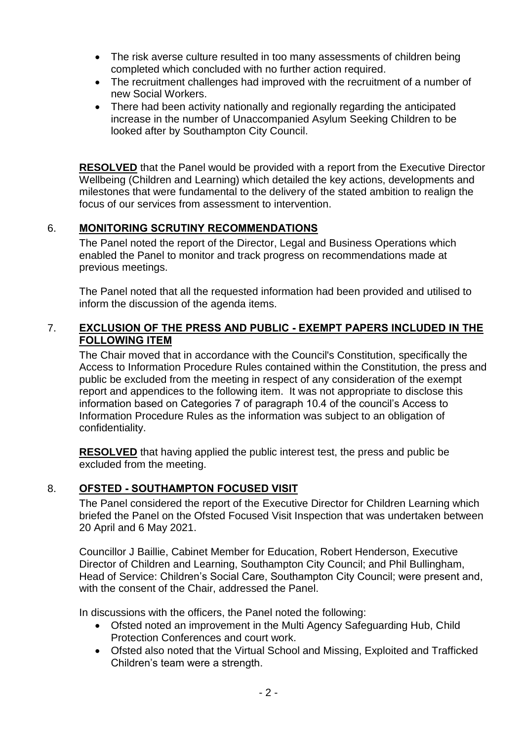- The risk averse culture resulted in too many assessments of children being completed which concluded with no further action required.
- The recruitment challenges had improved with the recruitment of a number of new Social Workers.
- There had been activity nationally and regionally regarding the anticipated increase in the number of Unaccompanied Asylum Seeking Children to be looked after by Southampton City Council.

**RESOLVED** that the Panel would be provided with a report from the Executive Director Wellbeing (Children and Learning) which detailed the key actions, developments and milestones that were fundamental to the delivery of the stated ambition to realign the focus of our services from assessment to intervention.

## 6. **MONITORING SCRUTINY RECOMMENDATIONS**

The Panel noted the report of the Director, Legal and Business Operations which enabled the Panel to monitor and track progress on recommendations made at previous meetings.

The Panel noted that all the requested information had been provided and utilised to inform the discussion of the agenda items.

### 7. **EXCLUSION OF THE PRESS AND PUBLIC - EXEMPT PAPERS INCLUDED IN THE FOLLOWING ITEM**

The Chair moved that in accordance with the Council's Constitution, specifically the Access to Information Procedure Rules contained within the Constitution, the press and public be excluded from the meeting in respect of any consideration of the exempt report and appendices to the following item. It was not appropriate to disclose this information based on Categories 7 of paragraph 10.4 of the council's Access to Information Procedure Rules as the information was subject to an obligation of confidentiality.

**RESOLVED** that having applied the public interest test, the press and public be excluded from the meeting.

### 8. **OFSTED - SOUTHAMPTON FOCUSED VISIT**

The Panel considered the report of the Executive Director for Children Learning which briefed the Panel on the Ofsted Focused Visit Inspection that was undertaken between 20 April and 6 May 2021.

Councillor J Baillie, Cabinet Member for Education, Robert Henderson, Executive Director of Children and Learning, Southampton City Council; and Phil Bullingham, Head of Service: Children's Social Care, Southampton City Council; were present and, with the consent of the Chair, addressed the Panel.

In discussions with the officers, the Panel noted the following:

- Ofsted noted an improvement in the Multi Agency Safeguarding Hub, Child Protection Conferences and court work.
- Ofsted also noted that the Virtual School and Missing, Exploited and Trafficked Children's team were a strength.